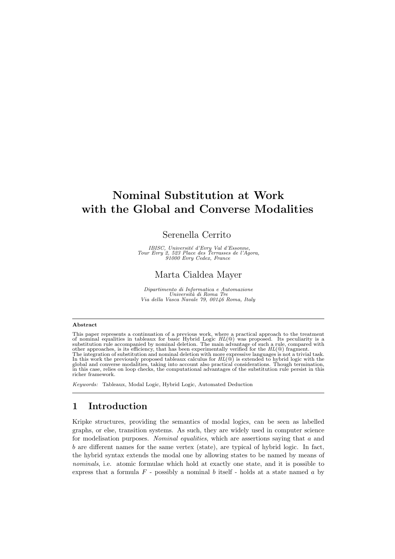# Nominal Substitution at Work with the Global and Converse Modalities

#### Serenella Cerrito

IBISC, Universit´e d'Evry Val d'Essonne, Tour Evry 2, 523 Place des Terrasses de l'Agora, 91000 Evry Cedex, France

# Marta Cialdea Mayer

Dipartimento di Informatica e Automazione<br>Università di Roma Tre<br>Via della Vasca Navale 79, 00146 Roma, Italy

#### Abstract

This paper represents a continuation of a previous work, where a practical approach to the treatment<br>of nominal equalities in tableaux for basic Hybrid Logic  $HL(\mathcal{Q})$  was proposed. Its peculiarity is a<br>substitution rule In this work the previously proposed tableaux calculus for  $HL(\mathbb{Q})$  is extended to hybrid logic with the global and converse modalities, taking into account also practical considerations. Though termination, in this case richer framework.

Keywords: Tableaux, Modal Logic, Hybrid Logic, Automated Deduction

### 1 Introduction

Kripke structures, providing the semantics of modal logics, can be seen as labelled graphs, or else, transition systems. As such, they are widely used in computer science for modelisation purposes. Nominal equalities, which are assertions saying that  $a$  and  $b$  are different names for the same vertex (state), are typical of hybrid logic. In fact, the hybrid syntax extends the modal one by allowing states to be named by means of nominals, i.e. atomic formulae which hold at exactly one state, and it is possible to express that a formula  $F$  - possibly a nominal b itself - holds at a state named a by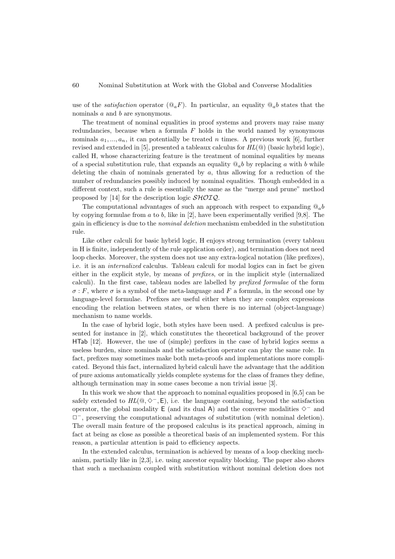use of the *satisfaction* operator  $(\mathbb{Q}_a F)$ . In particular, an equality  $\mathbb{Q}_a b$  states that the nominals a and b are synonymous.

The treatment of nominal equalities in proof systems and provers may raise many redundancies, because when a formula  $F$  holds in the world named by synonymous nominals  $a_1, ..., a_n$ , it can potentially be treated n times. A previous work [\[6\]](#page-17-0), further revised and extended in [\[5\]](#page-17-1), presented a tableaux calculus for  $HL(\mathbb{Q})$  (basic hybrid logic), called H, whose characterizing feature is the treatment of nominal equalities by means of a special substitution rule, that expands an equality  $\mathcal{Q}_a$  by replacing a with b while deleting the chain of nominals generated by  $a$ , thus allowing for a reduction of the number of redundancies possibly induced by nominal equalities. Though embedded in a different context, such a rule is essentially the same as the "merge and prune" method proposed by [\[14\]](#page-17-2) for the description logic  $\mathcal{SHOIQ}$ .

The computational advantages of such an approach with respect to expanding  $\mathbb{Q}_a b$ by copying formulae from  $a$  to  $b$ , like in [\[2\]](#page-17-3), have been experimentally verified [\[9,](#page-17-4)[8\]](#page-17-5). The gain in efficiency is due to the nominal deletion mechanism embedded in the substitution rule.

Like other calculi for basic hybrid logic, H enjoys strong termination (every tableau in H is finite, independently of the rule application order), and termination does not need loop checks. Moreover, the system does not use any extra-logical notation (like prefixes), i.e. it is an internalized calculus. Tableau calculi for modal logics can in fact be given either in the explicit style, by means of prefixes, or in the implicit style (internalized calculi). In the first case, tableau nodes are labelled by prefixed formulae of the form  $\sigma$ : F, where  $\sigma$  is a symbol of the meta-language and F a formula, in the second one by language-level formulae. Prefixes are useful either when they are complex expressions encoding the relation between states, or when there is no internal (object-language) mechanism to name worlds.

In the case of hybrid logic, both styles have been used. A prefixed calculus is presented for instance in [\[2\]](#page-17-3), which constitutes the theoretical background of the prover HTab [\[12\]](#page-17-6). However, the use of (simple) prefixes in the case of hybrid logics seems a useless burden, since nominals and the satisfaction operator can play the same role. In fact, prefixes may sometimes make both meta-proofs and implementations more complicated. Beyond this fact, internalized hybrid calculi have the advantage that the addition of pure axioms automatically yields complete systems for the class of frames they define, although termination may in some cases become a non trivial issue [\[3\]](#page-17-7).

In this work we show that the approach to nominal equalities proposed in [\[6,](#page-17-0)[5\]](#page-17-1) can be safely extended to  $HL(@, \diamondsuit^-$ , E), i.e. the language containing, beyond the satisfaction operator, the global modality E (and its dual A) and the converse modalities  $\diamond$  – and ✷<sup>−</sup>, preserving the computational advantages of substitution (with nominal deletion). The overall main feature of the proposed calculus is its practical approach, aiming in fact at being as close as possible a theoretical basis of an implemented system. For this reason, a particular attention is paid to efficiency aspects.

In the extended calculus, termination is achieved by means of a loop checking mechanism, partially like in [\[2,](#page-17-3)[3\]](#page-17-7), i.e. using ancestor equality blocking. The paper also shows that such a mechanism coupled with substitution without nominal deletion does not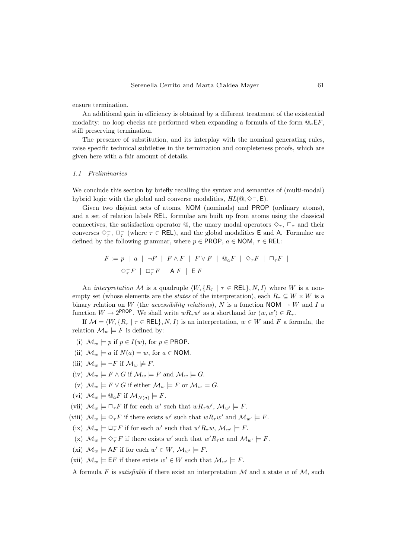ensure termination.

An additional gain in efficiency is obtained by a different treatment of the existential modality: no loop checks are performed when expanding a formula of the form  $\mathbb{Q}_a \in F$ . still preserving termination.

The presence of substitution, and its interplay with the nominal generating rules, raise specific technical subtleties in the termination and completeness proofs, which are given here with a fair amount of details.

#### 1.1 Preliminaries

We conclude this section by briefly recalling the syntax and semantics of (multi-modal) hybrid logic with the global and converse modalities,  $HL(\mathbb{Q}, \Diamond^{-}, \mathsf{E}).$ 

Given two disjoint sets of atoms, NOM (nominals) and PROP (ordinary atoms). and a set of relation labels REL, formulae are built up from atoms using the classical connectives, the satisfaction operator  $\mathbb{Q}$ , the unary modal operators  $\Diamond_{\tau}$ ,  $\Box_{\tau}$  and their converses  $\diamondsuit^-_\tau$ ,  $\square^-_\tau$  (where  $\tau \in \mathsf{REL}$ ), and the global modalities **E** and **A**. Formulae are defined by the following grammar, where  $p \in \text{PROP}, a \in \text{NOM}, \tau \in \text{REL}:$ 

$$
F := p \mid a \mid \neg F \mid F \wedge F \mid F \vee F \mid @_{a}F \mid \Diamond_{\tau} F \mid \Box_{\tau} F \mid
$$
  

$$
\Diamond_{\tau}^{-} F \mid \Box_{\tau}^{-} F \mid AF \mid E F
$$

An interpretation M is a quadruple  $\langle W, \{R_\tau | \tau \in \text{REL}\}, N, I \rangle$  where W is a nonempty set (whose elements are the *states* of the interpretation), each  $R_{\tau} \subseteq W \times W$  is a binary relation on W (the *accessibility relations*), N is a function NOM  $\rightarrow$  W and I a function  $W \to 2^{\text{PROP}}$ . We shall write  $wR_{\tau}w'$  as a shorthand for  $\langle w, w' \rangle \in R_{\tau}$ .

If  $\mathcal{M} = \langle W, \{R_\tau | \tau \in \text{REL}\}, N, I \rangle$  is an interpretation,  $w \in W$  and F a formula, the relation  $\mathcal{M}_w \models F$  is defined by:

- (i)  $\mathcal{M}_w \models p$  if  $p \in I(w)$ , for  $p \in \text{PROP}$ .
- (ii)  $\mathcal{M}_w \models a$  if  $N(a) = w$ , for  $a \in \text{NOM}$ .
- (iii)  $\mathcal{M}_w \models \neg F$  if  $\mathcal{M}_w \not\models F$ .
- (iv)  $\mathcal{M}_w \models F \wedge G$  if  $\mathcal{M}_w \models F$  and  $\mathcal{M}_w \models G$ .
- (v)  $\mathcal{M}_w \models F \vee G$  if either  $\mathcal{M}_w \models F$  or  $\mathcal{M}_w \models G$ .
- (vi)  $\mathcal{M}_w \models \mathbb{Q}_a F$  if  $\mathcal{M}_{N(a)} \models F$ .
- (vii)  $\mathcal{M}_w \models \Box_{\tau} F$  if for each w' such that  $wR_{\tau}w'$ ,  $\mathcal{M}_{w'} \models F$ .
- (viii)  $\mathcal{M}_w \models \Diamond_{\tau} F$  if there exists w' such that  $wR_{\tau}w'$  and  $\mathcal{M}_{w'} \models F$ .
- (ix)  $\mathcal{M}_w \models \Box_\tau^- F$  if for each w' such that  $w' R_\tau w$ ,  $\mathcal{M}_{w'} \models F$ .
- (x)  $\mathcal{M}_w \models \Diamond_\tau^- F$  if there exists w' such that  $w' R_\tau w$  and  $\mathcal{M}_{w'} \models F$ .
- (xi)  $\mathcal{M}_w \models \mathsf{A}F$  if for each  $w' \in W$ ,  $\mathcal{M}_{w'} \models F$ .
- (xii)  $\mathcal{M}_w \models \mathsf{E} F$  if there exists  $w' \in W$  such that  $\mathcal{M}_{w'} \models F$ .

A formula F is *satisfiable* if there exist an interpretation M and a state w of M, such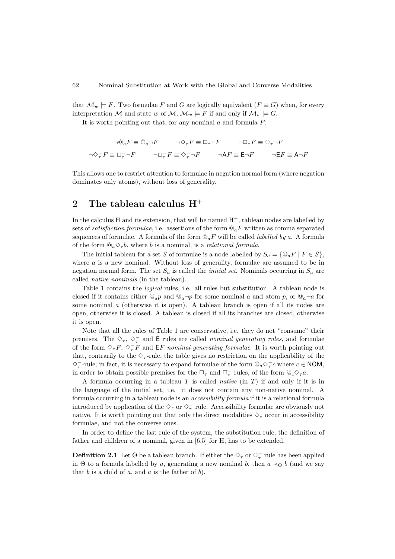that  $\mathcal{M}_w \models F$ . Two formulae F and G are logically equivalent  $(F \equiv G)$  when, for every interpretation M and state w of M,  $\mathcal{M}_w \models F$  if and only if  $\mathcal{M}_w \models G$ .

It is worth pointing out that, for any nominal  $a$  and formula  $F$ :

$$
\neg @_{a}F \equiv @_{a} \neg F \qquad \neg \Diamond_{\tau} F \equiv \Box_{\tau} \neg F \qquad \neg \Box_{\tau} F \equiv \Diamond_{\tau} \neg F
$$

$$
\neg \Diamond_{\tau} F \equiv \Box_{\tau} \neg F \qquad \neg \Box_{\tau} F \equiv \Diamond_{\tau} \neg F \qquad \neg \mathsf{A} F \equiv \mathsf{E} \neg F \qquad \neg \mathsf{E} F \equiv \mathsf{A} \neg F
$$

This allows one to restrict attention to formulae in negation normal form (where negation dominates only atoms), without loss of generality.

# 2 The tableau calculus  $H^+$

In the calculus H and its extension, that will be named  $H^+$ , tableau nodes are labelled by sets of *satisfaction formulae*, i.e. assertions of the form  $\mathbb{Q}_a F$  written as comma separated sequences of formulae. A formula of the form  $\mathbb{Q}_aF$  will be called *labelled by a.* A formula of the form  $\mathbb{Q}_a \diamond_{\tau} b$ , where b is a nominal, is a *relational formula*.

The initial tableau for a set S of formulae is a node labelled by  $S_a = \{ \mathcal{Q}_a F \mid F \in S \}$ , where  $a$  is a new nominal. Without loss of generality, formulae are assumed to be in negation normal form. The set  $S_a$  is called the *initial set*. Nominals occurring in  $S_a$  are called native nominals (in the tableau).

Table [1](#page-4-0) contains the *logical* rules, i.e. all rules but substitution. A tableau node is closed if it contains either  $\mathbb{Q}_a p$  and  $\mathbb{Q}_a \neg p$  for some nominal a and atom p, or  $\mathbb{Q}_a \neg a$  for some nominal a (otherwise it is open). A tableau branch is open if all its nodes are open, otherwise it is closed. A tableau is closed if all its branches are closed, otherwise it is open.

Note that all the rules of Table [1](#page-4-0) are conservative, i.e. they do not "consume" their premises. The  $\diamondsuit_\tau$ ,  $\diamondsuit_\tau^-$  and E rules are called *nominal generating rules*, and formulae of the form  $\Diamond_{\tau}F, \Diamond_{\tau}F$  and  $\mathsf{E}F$  nominal generating formulae. It is worth pointing out that, contrarily to the  $\Diamond_{\tau}$ -rule, the table gives no restriction on the applicability of the  $\diamondsuit_\tau^-$ -rule; in fact, it is necessary to expand formulae of the form  $@_a\diamondsuit_\tau^-c$  where  $c \in \text{NOM}$ , in order to obtain possible premises for the  $\Box_{\tau}$  and  $\Box_{\tau}^-$  rules, of the form  $@_{c}\Diamond_{\tau}a$ .

A formula occurring in a tableau  $T$  is called *native* (in  $T$ ) if and only if it is in the language of the initial set, i.e. it does not contain any non-native nominal. A formula occurring in a tableau node is an accessibility formula if it is a relational formula introduced by application of the  $\diamondsuit_\tau$  or  $\diamondsuit_\tau^-$  rule. Accessibility formulae are obviously not native. It is worth pointing out that only the direct modalities  $\Diamond_{\tau}$  occur in accessibility formulae, and not the converse ones.

In order to define the last rule of the system, the substitution rule, the definition of father and children of a nominal, given in [\[6](#page-17-0)[,5\]](#page-17-1) for H, has to be extended.

**Definition 2.1** Let  $\Theta$  be a tableau branch. If either the  $\diamondsuit_\tau$  or  $\diamondsuit_\tau^-$  rule has been applied in Θ to a formula labelled by a, generating a new nominal b, then  $a \prec_{\Theta} b$  (and we say that  $b$  is a child of  $a$ , and  $a$  is the father of  $b$ ).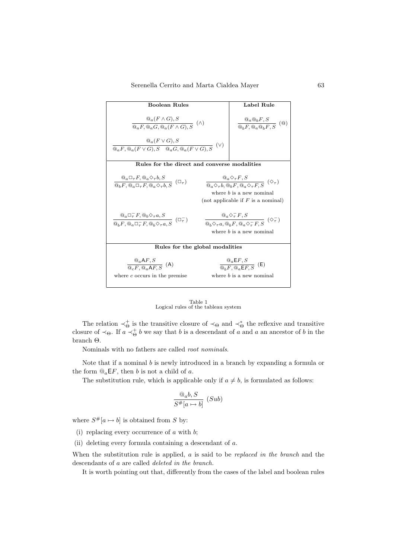| <b>Boolean Rules</b>                                                                                                                                                                 | Label Rule                                                                                                                                                                      |  |
|--------------------------------------------------------------------------------------------------------------------------------------------------------------------------------------|---------------------------------------------------------------------------------------------------------------------------------------------------------------------------------|--|
| $@_{a}(F\wedge G), S$<br>$\overline{\mathbb{Q}_a F, \mathbb{Q}_a G, \mathbb{Q}_a (F \wedge G). S}$ (A)                                                                               | $\frac{\mathbb{Q}_a \mathbb{Q}_b F, S}{\mathbb{Q}_b F, \mathbb{Q}_a \mathbb{Q}_b F, S}$ ( $\mathbb{Q}$ )                                                                        |  |
| $@a(F\vee G),S$<br>$\overline{\mathbb{Q}_a F, \mathbb{Q}_a (F \vee G), S \quad \mathbb{Q}_a G, \mathbb{Q}_a (F \vee G), S}$ (V)                                                      |                                                                                                                                                                                 |  |
| Rules for the direct and converse modalities                                                                                                                                         |                                                                                                                                                                                 |  |
| $\frac{\mathbb{Q}_a \square_{\tau} F, \mathbb{Q}_a \diamondsuit_{\tau} b, S}{\mathbb{Q}_b F, \mathbb{Q}_a \square_{\tau} F, \mathbb{Q}_a \diamondsuit_{\tau} b, S} (\square_{\tau})$ | $\frac{{@}_{a} \diamondsuit_{\tau} F,S}{@_{a} \diamondsuit_{\tau} b, @_{b} F, @_{a} \diamondsuit_{\tau} F, S} \ (\diamondsuit_{\tau})$<br>where $b$ is a new nominal            |  |
| (not applicable if $F$ is a nominal)                                                                                                                                                 |                                                                                                                                                                                 |  |
| $\frac{\mathbb{Q}_a \square_\tau^- F, \mathbb{Q}_b \diamondsuit_\tau a, S}{\mathbb{Q}_b F, \mathbb{Q}_a \square_\tau^- F, \mathbb{Q}_b \diamondsuit_\tau a, S} (\square_\tau^-)$     | $\frac{ @_{a} \diamondsuit_{\tau}^{-} F,S}{ @_{b} \diamondsuit_{\tau} a, @_{b} F, @_{a} \diamondsuit_{\tau}^{-} F,S} \ (\diamondsuit_{\tau}^{-})$<br>where $b$ is a new nominal |  |
| Rules for the global modalities                                                                                                                                                      |                                                                                                                                                                                 |  |
| $\frac{@_{a}AF, S}{@_{a}F, @_{a}AF, S}$ (A)<br>where $c$ occurs in the premise                                                                                                       | $\frac{@_{a}E F, S}{@_{b}F, @_{a}F F, S}$ (E)<br>where $b$ is a new nominal                                                                                                     |  |

Table 1 Logical rules of the tableau system

<span id="page-4-0"></span>The relation  $\prec_{\Theta}^+$  is the transitive closure of  $\prec_{\Theta}$  and  $\prec_{\Theta}^*$  the reflexive and transitive closure of  $\prec_{\Theta}$ . If  $a \prec_{\Theta}^+ b$  we say that b is a descendant of a and a an ancestor of b in the branch Θ.

Nominals with no fathers are called root nominals.

Note that if a nominal  $b$  is newly introduced in a branch by expanding a formula or the form  $@a\mathsf{E} F$ , then b is not a child of a.

The substitution rule, which is applicable only if  $a \neq b$ , is formulated as follows:

$$
\frac{\mathbb{Q}_a b, S}{S^{\#}[a \mapsto b]} \ (Sub)
$$

where  $S^{\#}[a \mapsto b]$  is obtained from S by:

(i) replacing every occurrence of  $a$  with  $b$ ;

(ii) deleting every formula containing a descendant of a.

When the substitution rule is applied,  $a$  is said to be *replaced in the branch* and the descendants of a are called deleted in the branch.

It is worth pointing out that, differently from the cases of the label and boolean rules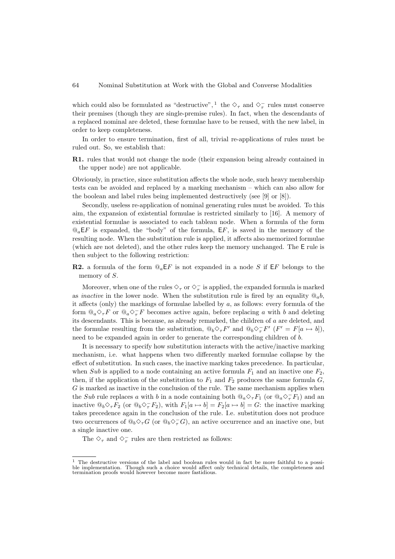which could also be formulated as "destructive", <sup>[1](#page-5-0)</sup> the  $\diamond_{\tau}$  and  $\diamond_{\tau}^-$  rules must conserve their premises (though they are single-premise rules). In fact, when the descendants of a replaced nominal are deleted, these formulae have to be reused, with the new label, in order to keep completeness.

In order to ensure termination, first of all, trivial re-applications of rules must be ruled out. So, we establish that:

R1. rules that would not change the node (their expansion being already contained in the upper node) are not applicable.

Obviously, in practice, since substitution affects the whole node, such heavy membership tests can be avoided and replaced by a marking mechanism – which can also allow for the boolean and label rules being implemented destructively (see [\[9\]](#page-17-4) or [\[8\]](#page-17-5)).

Secondly, useless re-application of nominal generating rules must be avoided. To this aim, the expansion of existential formulae is restricted similarly to [\[16\]](#page-17-8). A memory of existential formulae is associated to each tableau node. When a formula of the form  $\mathbb{Q}_a E$  is expanded, the "body" of the formula,  $E$ , is saved in the memory of the resulting node. When the substitution rule is applied, it affects also memorized formulae (which are not deleted), and the other rules keep the memory unchanged. The E rule is then subject to the following restriction:

**R2.** a formula of the form  $\mathbb{Q}_a$  EF is not expanded in a node S if EF belongs to the memory of S.

Moreover, when one of the rules  $\diamondsuit_\tau$  or  $\diamondsuit_\tau^-$  is applied, the expanded formula is marked as *inactive* in the lower node. When the substitution rule is fired by an equality  $\mathbb{Q}_a b$ . it affects (only) the markings of formulae labelled by  $a$ , as follows: every formula of the form  $@_a\Diamond_{\tau}F$  or  $@_a\Diamond_{\tau}F$  becomes active again, before replacing a with b and deleting its descendants. This is because, as already remarked, the children of a are deleted, and the formulae resulting from the substitution,  $@_b \Diamond_\tau F'$  and  $@_b \Diamond_\tau^- F'$   $(F' = F[a \mapsto b]),$ need to be expanded again in order to generate the corresponding children of b.

It is necessary to specify how substitution interacts with the active/inactive marking mechanism, i.e. what happens when two differently marked formulae collapse by the effect of substitution. In such cases, the inactive marking takes precedence. In particular, when Sub is applied to a node containing an active formula  $F_1$  and an inactive one  $F_2$ , then, if the application of the substitution to  $F_1$  and  $F_2$  produces the same formula  $G$ ,  $G$  is marked as inactive in the conclusion of the rule. The same mechanism applies when the Sub rule replaces a with b in a node containing both  $@_a\diamond_\tau F_1$  (or  $@_a\diamond_\tau F_1$ ) and an inactive  $\mathbb{Q}_b \diamondsuit_\tau F_2$  (or  $\mathbb{Q}_b \diamondsuit_\tau F_2$ ), with  $F_1[a \mapsto b] = F_2[a \mapsto b] = G$ : the inactive marking takes precedence again in the conclusion of the rule. I.e. substitution does not produce two occurrences of  $@_b\diamondsuit_\tau G$  (or  $@_b\diamondsuit_\tau G$ ), an active occurrence and an inactive one, but a single inactive one.

The  $\diamondsuit_\tau$  and  $\diamondsuit_\tau^-$  rules are then restricted as follows:

<span id="page-5-0"></span><sup>1</sup> The destructive versions of the label and boolean rules would in fact be more faithful to a possible implementation. Though such a choice would affect only technical details, the completeness and termination proofs would however become more fastidious.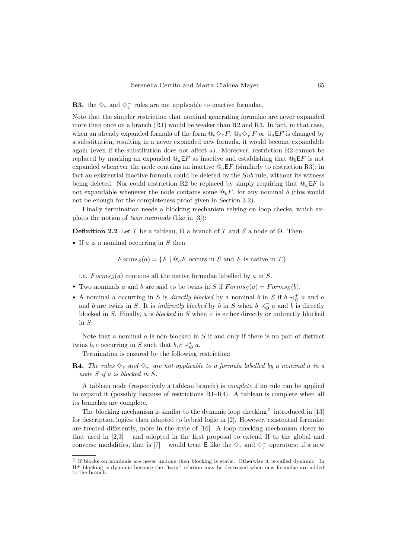**R3.** the  $\diamondsuit_\tau$  and  $\diamondsuit_\tau^-$  rules are not applicable to inactive formulae.

Note that the simpler restriction that nominal generating formulae are never expanded more than once on a branch  $(R1)$  would be weaker than  $R2$  and  $R3$ . In fact, in that case, when an already expanded formula of the form  $@a\Diamond_{\tau}F$ ,  $@a\Diamond_{\tau}F$  or  $@a\mathsf{E}F$  is changed by a substitution, resulting in a never expanded new formula, it would become expandable again (even if the substitution does not affect  $a$ ). Moreover, restriction R2 cannot be replaced by marking an expanded  $\mathbb{Q}_a E F$  as inactive and establishing that  $\mathbb{Q}_b E F$  is not expanded whenever the node contains an inactive  $\mathcal{Q}_a E F$  (similarly to restriction R3); in fact an existential inactive formula could be deleted by the Sub rule, without its witness being deleted. Nor could restriction R2 be replaced by simply requiring that  $\mathbb{Q}_a \in F$  is not expandable whenever the node contains some  $\mathcal{Q}_b F$ , for any nominal b (this would not be enough for the completeness proof given in Section [3.2\)](#page-10-0).

Finally termination needs a blocking mechanism relying on loop checks, which exploits the notion of twin nominals (like in [\[3\]](#page-17-7)):

**Definition 2.2** Let T be a tableau,  $\Theta$  a branch of T and S a node of  $\Theta$ . Then:

• If  $a$  is a nominal occurring in  $S$  then

 $Forms_S(a) = \{F \mid \mathcal{Q}_a F \text{ occurs in } S \text{ and } F \text{ is native in } T\}$ 

i.e.  $Forms<sub>S</sub>(a) contains all the native formulae labelled by a in S.$ 

- Two nominals a and b are said to be twins in S if  $Forms_S(a) = Forms_S(b)$ .
- A nominal a occurring in S is directly blocked by a nominal b in S if  $b \prec_{\Theta}^+ a$  and a and b are twins in S. It is *indirectly blocked* by b in S when  $b \prec_{\Theta}^{\dagger} a$  and b is directly blocked in  $S$ . Finally,  $a$  is *blocked* in  $S$  when it is either directly or indirectly blocked in S.

Note that a nominal  $\alpha$  is non-blocked in  $S$  if and only if there is no pair of distinct twins  $b, c$  occurring in S such that  $b, c \prec_{\Theta}^* a$ .

Termination is ensured by the following restriction:

**R4.** The rules  $\Diamond_{\tau}$  and  $\Diamond_{\tau}^{-}$  are not applicable to a formula labelled by a nominal a in a node S if a is blocked in S.

A tableau node (respectively a tableau branch) is complete if no rule can be applied to expand it (possibly because of restrictions R1–R4). A tableau is complete when all its branches are complete.

The blocking mechanism is similar to the dynamic loop checking  $2$  introduced in [\[13\]](#page-17-9) for description logics, then adapted to hybrid logic in [\[2\]](#page-17-3). However, existential formulae are treated differently, more in the style of [\[16\]](#page-17-8). A loop checking mechanism closer to that used in  $[2,3]$  $[2,3]$  – and adopted in the first proposal to extend H to the global and converse modalities, that is [\[7\]](#page-17-10) – would treat E like the  $\diamond_{\tau}$  and  $\diamond_{\tau}^-$  operators: if a new

<span id="page-6-0"></span><sup>&</sup>lt;sup>2</sup> If blocks on nominals are never undone then blocking is static. Otherwise it is called dynamic. In H<sup>+</sup> blocking is dynamic because the "twin" relation may be destroyed when new formulae are added to the branch.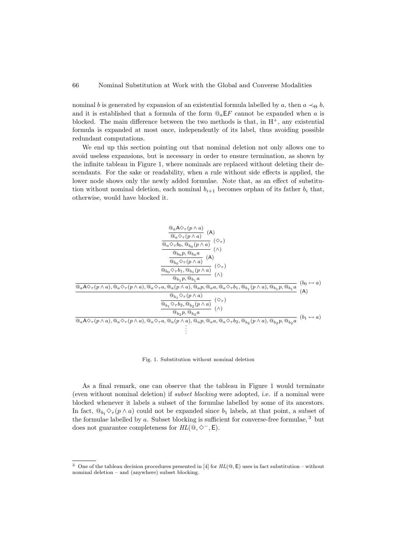nominal b is generated by expansion of an existential formula labelled by a, then  $a \prec_{\Theta} b$ , and it is established that a formula of the form  $\mathbb{Q}_a \mathsf{E} F$  cannot be expanded when a is blocked. The main difference between the two methods is that, in  $H^+$ , any existential formula is expanded at most once, independently of its label, thus avoiding possible redundant computations.

We end up this section pointing out that nominal deletion not only allows one to avoid useless expansions, but is necessary in order to ensure termination, as shown by the infinite tableau in Figure [1,](#page-7-0) where nominals are replaced without deleting their descendants. For the sake or readability, when a rule without side effects is applied, the lower node shows only the newly added formulae. Note that, as an effect of substitution without nominal deletion, each nominal  $b_{i+1}$  becomes orphan of its father  $b_i$  that, otherwise, would have blocked it.



<span id="page-7-0"></span>Fig. 1. Substitution without nominal deletion

As a final remark, one can observe that the tableau in Figure [1](#page-7-0) would terminate (even without nominal deletion) if subset blocking were adopted, i.e. if a nominal were blocked whenever it labels a subset of the formulae labelled by some of its ancestors. In fact,  $\mathbb{Q}_b$ ,  $\Diamond_{\tau}(p \wedge a)$  could not be expanded since  $b_1$  labels, at that point, a subset of the formulae labelled by a. Subset blocking is sufficient for converse-free formulae,  $3$  but does not guarantee completeness for  $HL(\mathbb{Q}, \diamondsuit^-, \mathsf{E}).$ 

<span id="page-7-1"></span><sup>&</sup>lt;sup>3</sup> One of the tableau decision procedures presented in [\[4\]](#page-17-11) for  $HL(\mathbb{Q}, \mathsf{E})$  uses in fact substitution – without nominal deletion – and (anywhere) subset blocking.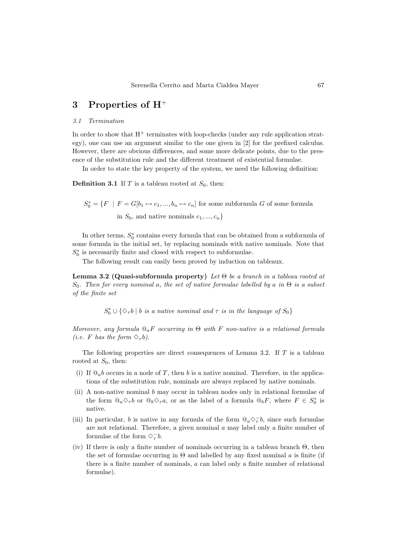### 3 Properties of H<sup>+</sup>

#### 3.1 Termination

In order to show that  $H^+$  terminates with loop-checks (under any rule application strategy), one can use an argument similar to the one given in [\[2\]](#page-17-3) for the prefixed calculus. However, there are obvious differences, and some more delicate points, due to the presence of the substitution rule and the different treatment of existential formulae.

In order to state the key property of the system, we need the following definition:

**Definition 3.1** If T is a tableau rooted at  $S_0$ , then:

 $S_0^* = \{F \mid F = G[b_1 \mapsto c_1, ..., b_n \mapsto c_n] \text{ for some subformula } G \text{ of some formula } G \in \{F \mid F = G[b_1 \mapsto c_1, ..., b_n \mapsto c_n] \text{ for some subformula } G \text{ of } G \text{ of } G \text{ of } G \text{ of } G \text{ of } G \text{ of } G \text{ of } G \text{ of } G \text{ of } G \text{ of } G \text{ of } G \text{ of } G \text{ of } G \text{ of } G \text{ of } G \text{ of } G \text{ of } G \text{ of } G \text{ of } G \text{ of } G \text{ of } G \text{ of } G$ in  $S_0$ , and native nominals  $c_1, ..., c_n$ 

In other terms,  $S_0^*$  contains every formula that can be obtained from a subformula of some formula in the initial set, by replacing nominals with native nominals. Note that  $S_{0}^{\ast}$  is necessarily finite and closed with respect to subformulae.

The following result can easily been proved by induction on tableaux.

<span id="page-8-0"></span>Lemma 3.2 (Quasi-subformula property) Let  $\Theta$  be a branch in a tableau rooted at  $S_0$ . Then for every nominal a, the set of native formulae labelled by a in  $\Theta$  is a subset of the finite set

 $S_0^* \cup {\Diamond_{\tau} b \mid b \text{ is a native nominal and } \tau \text{ is in the language of } S_0}$ 

Moreover, any formula  $\mathbb{Q}_a F$  occurring in  $\Theta$  with F non-native is a relational formula (*i.e.* F has the form  $\Diamond_{\tau}b$ ).

The following properties are direct consequences of Lemma [3.2.](#page-8-0) If T is a tableau rooted at  $S_0$ , then:

- (i) If  $\mathbb{Q}_a$ b occurs in a node of T, then b is a native nominal. Therefore, in the applications of the substitution rule, nominals are always replaced by native nominals.
- (ii) A non-native nominal b may occur in tableau nodes only in relational formulae of the form  $@_{a} \diamond_{\tau} b$  or  $@_{b} \diamond_{\tau} a$ , or as the label of a formula  $@_{b} F$ , where  $F \in S_{0}^{*}$  is native.
- <span id="page-8-1"></span>(iii) In particular, b is native in any formula of the form  $@a\Diamond_{\tau}^- b$ , since such formulae are not relational. Therefore, a given nominal a may label only a finite number of formulae of the form  $\diamondsuit^-_7b$ .
- <span id="page-8-2"></span>(iv) If there is only a finite number of nominals occurring in a tableau branch Θ, then the set of formulae occurring in  $\Theta$  and labelled by any fixed nominal  $a$  is finite (if there is a finite number of nominals, a can label only a finite number of relational formulae).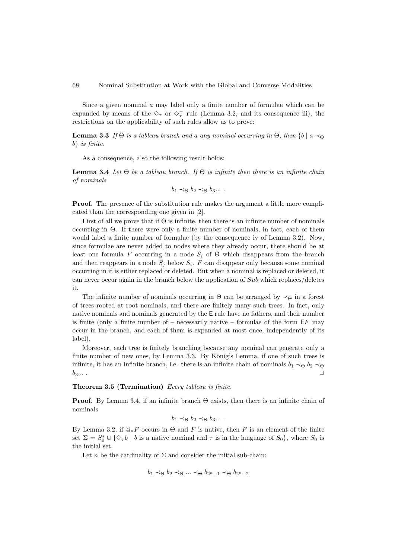Since a given nominal a may label only a finite number of formulae which can be expanded by means of the  $\diamond_{\tau}$  or  $\diamond_{\tau}^-$  rule (Lemma [3.2,](#page-8-0) and its consequence [iii\)](#page-8-1), the restrictions on the applicability of such rules allow us to prove:

<span id="page-9-0"></span>**Lemma 3.3** If  $\Theta$  is a tableau branch and a any nominal occurring in  $\Theta$ , then  $\{b \mid a \prec_{\Theta}$ b} is finite.

As a consequence, also the following result holds:

<span id="page-9-1"></span>**Lemma 3.4** Let  $\Theta$  be a tableau branch. If  $\Theta$  is infinite then there is an infinite chain of nominals

$$
b_1 \prec_{\Theta} b_2 \prec_{\Theta} b_3 \dots
$$

Proof. The presence of the substitution rule makes the argument a little more complicated than the corresponding one given in [\[2\]](#page-17-3).

First of all we prove that if Θ is infinite, then there is an infinite number of nominals occurring in Θ. If there were only a finite number of nominals, in fact, each of them would label a finite number of formulae (by the consequence [iv](#page-8-2) of Lemma [3.2\)](#page-8-0). Now, since formulae are never added to nodes where they already occur, there should be at least one formula F occurring in a node  $S_i$  of  $\Theta$  which disappears from the branch and then reappears in a node  $S_j$  below  $S_i$ . F can disappear only because some nominal occurring in it is either replaced or deleted. But when a nominal is replaced or deleted, it can never occur again in the branch below the application of Sub which replaces/deletes it.

The infinite number of nominals occurring in  $\Theta$  can be arranged by  $\prec_{\Theta}$  in a forest of trees rooted at root nominals, and there are finitely many such trees. In fact, only native nominals and nominals generated by the E rule have no fathers, and their number is finite (only a finite number of – necessarily native – formulae of the form  $E\overline{F}$  may occur in the branch, and each of them is expanded at most once, independently of its label).

Moreover, each tree is finitely branching because any nominal can generate only a finite number of new ones, by Lemma [3.3.](#page-9-0) By König's Lemma, if one of such trees is infinite, it has an infinite branch, i.e. there is an infinite chain of nominals  $b_1 \prec_{\Theta} b_2 \prec_{\Theta}$  $b_3...$  .  $\square$ 

<span id="page-9-2"></span>Theorem 3.5 (Termination) Every tableau is finite.

Proof. By Lemma [3.4,](#page-9-1) if an infinite branch Θ exists, then there is an infinite chain of nominals

$$
b_1 \prec_{\Theta} b_2 \prec_{\Theta} b_3 \dots
$$

By Lemma [3.2,](#page-8-0) if  $\mathbb{Q}_a F$  occurs in  $\Theta$  and F is native, then F is an element of the finite set  $\Sigma = S_0^* \cup {\varphi_{\tau} b \mid b \text{ is a native nominal and } \tau \text{ is in the language of } S_0},$  where  $S_0$  is the initial set.

Let n be the cardinality of  $\Sigma$  and consider the initial sub-chain:

$$
b_1 \prec_{\Theta} b_2 \prec_{\Theta} ... \prec_{\Theta} b_{2^n+1} \prec_{\Theta} b_{2^n+2}
$$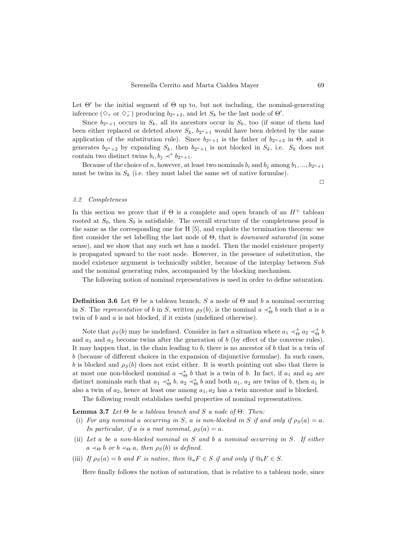Let  $\Theta'$  be the initial segment of  $\Theta$  up to, but not including, the nominal-generating inference  $(\Diamond_\tau \text{ or } \Diamond_\tau^-)$  producing  $b_{2^n+2}$ , and let  $S_k$  be the last node of  $\Theta'$ .

Since  $b_{2n+1}$  occurs in  $S_k$ , all its ancestors occur in  $S_k$ , too (if some of them had been either replaced or deleted above  $S_k$ ,  $b_{2n+1}$  would have been deleted by the same application of the substitution rule). Since  $b_{2^n+1}$  is the father of  $b_{2^n+2}$  in  $\Theta$ , and it generates  $b_{2n+2}$  by expanding  $S_k$ , then  $b_{2n+1}$  is not blocked in  $S_k$ , i.e.  $S_k$  does not contain two distinct twins  $b_i, b_j \prec^* b_{2^n+1}$ .

Because of the choice of n, however, at least two nominals  $b_i$  and  $b_j$  among  $b_1, ..., b_{2n+1}$ must be twins in  $S_k$  (i.e. they must label the same set of native formulae).

 $\Box$ 

#### <span id="page-10-0"></span>3.2 Completeness

In this section we prove that if  $\Theta$  is a complete and open branch of an  $H^+$  tableau rooted at  $S_0$ , then  $S_0$  is satisfiable. The overall structure of the completeness proof is the same as the corresponding one for H [\[5\]](#page-17-1), and exploits the termination theorem: we first consider the set labelling the last node of Θ, that is downward saturated (in some sense), and we show that any such set has a model. Then the model existence property is propagated upward to the root node. However, in the presence of substitution, the model existence argument is technically subtler, because of the interplay between  $Sub$ and the nominal generating rules, accompanied by the blocking mechanism.

The following notion of nominal representatives is used in order to define saturation.

**Definition 3.6** Let  $\Theta$  be a tableau branch, S a node of  $\Theta$  and b a nominal occurring in S. The representative of b in S, written  $\rho_S(b)$ , is the nominal  $a \prec_{\Theta}^* b$  such that a is a twin of  $b$  and  $a$  is not blocked, if it exists (undefined otherwise).

Note that  $\rho_S(b)$  may be undefined. Consider in fact a situation where  $a_1 \prec_{\Theta}^{\dagger} a_2 \prec_{\Theta}^{\dagger} b$ and  $a_1$  and  $a_2$  become twins after the generation of b (by effect of the converse rules). It may happen that, in the chain leading to  $b$ , there is no ancestor of  $b$  that is a twin of b (because of different choices in the expansion of disjunctive formulae). In such cases, b is blocked and  $\rho_S(b)$  does not exist either. It is worth pointing out also that there is at most one non-blocked nominal  $a \prec_{\Theta}^* b$  that is a twin of b. In fact, if  $a_1$  and  $a_2$  are distinct nominals such that  $a_1 \prec_{\Theta}^* b$ ,  $a_2 \prec_{\Theta}^* b$  and both  $a_1$ ,  $a_2$  are twins of b, then  $a_1$  is also a twin of  $a_2$ , hence at least one among  $a_1, a_2$  has a twin ancestor and is blocked.

The following result establishes useful properties of nominal representatives.

<span id="page-10-1"></span>**Lemma 3.7** Let  $\Theta$  be a tableau branch and S a node of  $\Theta$ . Then:

- <span id="page-10-3"></span>(i) For any nominal a occurring in S, a is non-blocked in S if and only if  $\rho_S(a) = a$ . In particular, if a is a root nominal,  $\rho_S(a) = a$ .
- <span id="page-10-2"></span>(ii) Let a be a non-blocked nominal in S and b a nominal occurring in S. If either  $a \prec_{\Theta} b$  or  $b \prec_{\Theta} a$ , then  $\rho_{S}(b)$  is defined.
- <span id="page-10-4"></span>(iii) If  $\rho_S(a) = b$  and F is native, then  $\mathbb{Q}_a F \in S$  if and only if  $\mathbb{Q}_b F \in S$ .

Here finally follows the notion of saturation, that is relative to a tableau node, since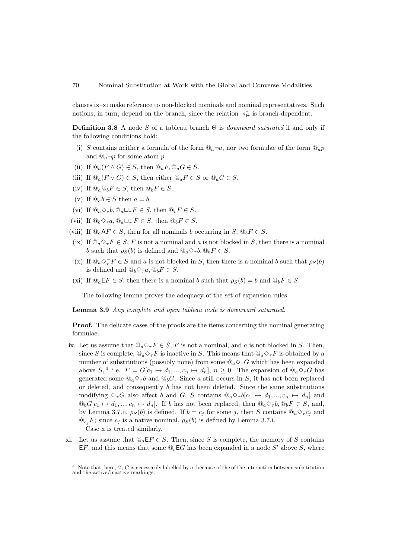clauses [ix–](#page-11-0)[xi](#page-11-1) make reference to non-blocked nominals and nominal representatives. Such notions, in turn, depend on the branch, since the relation  $\prec_{\Theta}^*$  is branch-dependent.

**Definition 3.8** A node S of a tableau branch  $\Theta$  is *downward saturated* if and only if the following conditions hold:

- (i) S contains neither a formula of the form  $\mathbb{Q}_a \neg a$ , nor two formulae of the form  $\mathbb{Q}_a p$ and  $\mathbb{Q}_a \neg p$  for some atom p.
- (ii) If  $@_{a}(F \wedge G) \in S$ , then  $@_{a}F, @_{a}G \in S$ .
- (iii) If  $@_{a}(F \vee G) \in S$ , then either  $@_{a}F \in S$  or  $@_{a}G \in S$ .
- (iv) If  $\mathbb{Q}_a \mathbb{Q}_b F \in S$ , then  $\mathbb{Q}_b F \in S$ .
- (v) If  $\mathbb{Q}_a b \in S$  then  $a = b$ .
- (vi) If  $@a\Diamond_{\tau} b, @a\Box_{\tau} F \in S$ , then  $@bF \in S$ .
- (vii) If  $@_b \Diamond_\tau a$ ,  $@_a \Box_\tau^- F \in S$ , then  $@_b F \in S$ .
- (viii) If  $\mathbb{Q}_a A F \in S$ , then for all nominals b occurring in  $S$ ,  $\mathbb{Q}_b F \in S$ .
- <span id="page-11-0"></span>(ix) If  $\mathbb{Q}_a \diamondsuit_\tau F \in S$ , F is not a nominal and a is not blocked in S, then there is a nominal b such that  $\rho_S(b)$  is defined and  $\mathbb{Q}_a \diamond f_b$ ,  $\mathbb{Q}_b F \in S$ .
- <span id="page-11-3"></span>(x) If  $@_{a} \diamondsuit_{\tau}^{-} F \in S$  and a is not blocked in S, then there is a nominal b such that  $\rho_S(b)$ is defined and  $@_b\diamondsuit_\tau a$ ,  $@_bF \in S$ .
- <span id="page-11-1"></span>(xi) If  $\mathbb{Q}_a \mathsf{E} F \in S$ , then there is a nominal b such that  $\rho_S(b) = b$  and  $\mathbb{Q}_b F \in S$ .

The following lemma proves the adequacy of the set of expansion rules.

<span id="page-11-4"></span>Lemma 3.9 Any complete and open tableau node is downward saturated.

Proof. The delicate cases of the proofs are the items concerning the nominal generating formulae.

[ix.](#page-11-0) Let us assume that  $@_{a} \diamond_{\tau} F \in S$ , F is not a nominal, and a is not blocked in S. Then, since S is complete,  $@_{a} \diamondsuit_{\tau} F$  is inactive in S. This means that  $@_{a} \diamondsuit_{\tau} F$  is obtained by a number of substitutions (possibly none) from some  $@a\Diamond_{\tau}G$  which has been expanded above  $S,^4$  $S,^4$  i.e.  $F = G[c_1 \mapsto d_1, ..., c_n \mapsto d_n], n \ge 0$ . The expansion of  $\mathbb{Q}_a \diamond_{\tau} G$  has generated some  $\mathbb{Q}_a \diamond_{\tau} b$  and  $\mathbb{Q}_b G$ . Since a still occurs in S, it has not been replaced or deleted, and consequently  $b$  has not been deleted. Since the same substitutions modifying  $\Diamond_{\tau}G$  also affect b and G, S contains  $\mathbb{Q}_a \Diamond_{\tau} b[c_1 \mapsto d_1, ..., c_n \mapsto d_n]$  and  $\mathbb{Q}_b G[c_1 \mapsto d_1, ..., c_n \mapsto d_n]$ . If b has not been replaced, then  $\mathbb{Q}_a \diamond_{\tau} b$ ,  $\mathbb{Q}_b F \in S$ , and, by Lemma [3.7.](#page-10-1)[ii,](#page-10-2)  $\rho_S(b)$  is defined. If  $b = c_j$  for some j, then S contains  $\mathbb{Q}_a \diamond_{\tau} c_j$  and  $\mathcal{Q}_{c_i}F$ ; since  $c_i$  is a native nominal,  $\rho_S(b)$  is defined by Lemma [3.7.](#page-10-1)[i.](#page-10-3)

Case [x](#page-11-3) is treated similarly.

[xi.](#page-11-1) Let us assume that  $\mathbb{Q}_a \mathsf{E} F \in S$ . Then, since S is complete, the memory of S contains  $E_F$ , and this means that some  $\mathbb{Q}_c E_G$  has been expanded in a node S' above S, where

<span id="page-11-2"></span><sup>&</sup>lt;sup>4</sup> Note that, here,  $\diamondsuit_\tau G$  is necessarily labelled by a, because of the of the interaction between substitution and the active/inactive markings.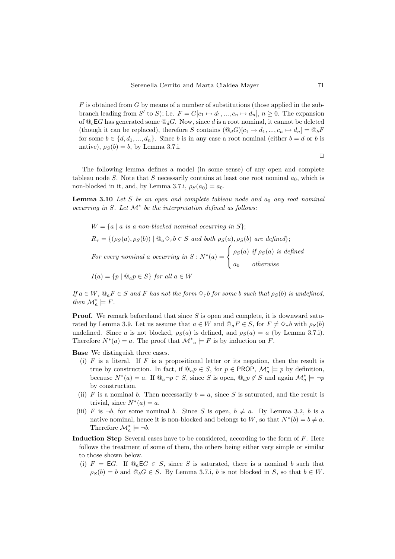$F$  is obtained from  $G$  by means of a number of substitutions (those applied in the subbranch leading from S' to S); i.e.  $F = G[c_1 \mapsto d_1, ..., c_n \mapsto d_n], n \ge 0$ . The expansion of  $\mathbb{Q}_c$  EG has generated some  $\mathbb{Q}_d$ G. Now, since d is a root nominal, it cannot be deleted (though it can be replaced), therefore S contains  $(\mathbb{Q}_dG)[c_1 \mapsto d_1, ..., c_n \mapsto d_n] = \mathbb{Q}_bF$ for some  $b \in \{d, d_1, ..., d_n\}$ . Since b is in any case a root nominal (either  $b = d$  or b is native),  $\rho_S(b) = b$ , by Lemma [3.7](#page-10-1)[.i.](#page-10-3)

 $\Box$ 

The following lemma defines a model (in some sense) of any open and complete tableau node S. Note that S necessarily contains at least one root nominal  $a_0$ , which is non-blocked in it, and, by Lemma [3.7.](#page-10-1)[i,](#page-10-3)  $\rho_S(a_0) = a_0$ .

<span id="page-12-0"></span>**Lemma 3.10** Let S be an open and complete tableau node and  $a_0$  any root nominal occurring in S. Let  $\mathcal{M}^*$  be the interpretation defined as follows:

 $W = \{a \mid a \text{ is a non-blocked nominal occurring in } S\};$  $R_{\tau} = \{(\rho_S(a), \rho_S(b)) \mid \textcircled{a} \diamondsuit_{\tau} b \in S \text{ and both } \rho_S(a), \rho_S(b) \text{ are defined}\}\$ For every nominal a occurring in  $S: N^*(a) =$  $\sqrt{ }$ J  $\mathcal{L}$  $\rho_S(a)$  if  $\rho_S(a)$  is defined  $a_0$  otherwise  $I(a) = \{p \mid @_{a}p \in S\}$  for all  $a \in W$ 

If  $a \in W$ ,  $\mathbb{Q}_a F \in S$  and F has not the form  $\diamond_{\tau} b$  for some b such that  $\rho_S(b)$  is undefined, then  $\mathcal{M}_a^* \models F$ .

**Proof.** We remark beforehand that since  $S$  is open and complete, it is downward satu-rated by Lemma [3.9.](#page-11-4) Let us assume that  $a \in W$  and  $\mathbb{Q}_a F \in S$ , for  $F \neq \Diamond_{\tau} b$  with  $\rho_S(b)$ undefined. Since a is not blocked,  $\rho_S(a)$  is defined, and  $\rho_S(a) = a$  (by Lemma [3.7.](#page-10-1)[i\)](#page-10-3). Therefore  $N^*(a) = a$ . The proof that  $\mathcal{M}^*_{a} \models F$  is by induction on F.

Base We distinguish three cases.

- (i)  $F$  is a literal. If  $F$  is a propositional letter or its negation, then the result is true by construction. In fact, if  $@ap \in S$ , for  $p \in \text{PROP}$ ,  $\mathcal{M}_a^* \models p$  by definition, because  $N^*(a) = a$ . If  $\mathbb{Q}_a \neg p \in S$ , since S is open,  $\mathbb{Q}_a p \notin S$  and again  $\mathcal{M}_a^* \models \neg p$ by construction.
- (ii) F is a nominal b. Then necessarily  $b = a$ , since S is saturated, and the result is trivial, since  $N^*(a) = a$ .
- (iii) F is  $\neg b$ , for some nominal b. Since S is open,  $b \neq a$ . By Lemma [3.2,](#page-8-0) b is a native nominal, hence it is non-blocked and belongs to W, so that  $N^*(b) = b \neq a$ . Therefore  $\mathcal{M}_a^* \models \neg b$ .
- Induction Step Several cases have to be considered, according to the form of F. Here follows the treatment of some of them, the others being either very simple or similar to those shown below.
	- (i)  $F = \textsf{E}G$ . If  $\mathbb{Q}_a \textsf{E}G \in S$ , since S is saturated, there is a nominal b such that  $\rho_S(b) = b$  and  $\mathbb{Q}_b G \in S$ . By Lemma [3.7](#page-10-1)[.i,](#page-10-3) b is not blocked in S, so that  $b \in W$ .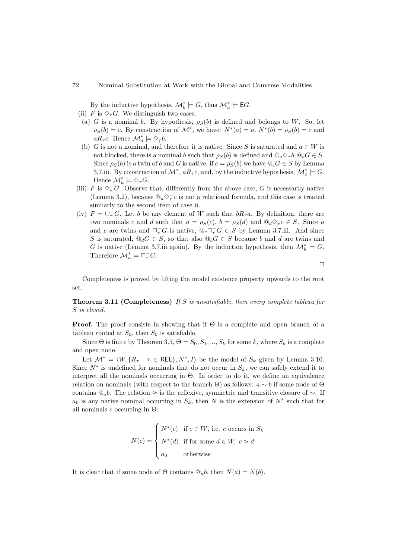By the inductive hypothesis,  $\mathcal{M}_b^* \models G$ , thus  $\mathcal{M}_a^* \models \mathsf{E}G$ .

- <span id="page-13-0"></span>(ii) F is  $\Diamond_{\tau}G$ . We distinguish two cases.
- (a) G is a nominal b. By hypothesis,  $\rho_S(b)$  is defined and belongs to W. So, let  $\rho_S(b) = c$ . By construction of  $\mathcal{M}^*$ , we have:  $N^*(a) = a, N^*(b) = \rho_S(b) = c$  and  $aR_{\tau}c$ . Hence  $\mathcal{M}_a^* \models \Diamond_{\tau}b$ .
- (b) G is not a nominal, and therefore it is native. Since S is saturated and  $a \in W$  is not blocked, there is a nominal b such that  $\rho_S(b)$  is defined and  $\mathbb{Q}_a \diamond_{\tau} b$ ,  $\mathbb{Q}_b G \in S$ . Since  $\rho_S(b)$  is a twin of b and G is native, if  $c = \rho_S(b)$  we have  $\mathbb{Q}_c G \in S$  by Lemma [3.7](#page-10-1)[.iii.](#page-10-4) By construction of  $\mathcal{M}^*$ ,  $aR_{\tau}c$ , and, by the inductive hypothesis,  $\mathcal{M}_c^* \models G$ . Hence  $\mathcal{M}_a^* \models \Diamond_{\tau} G$ .
- (iii) F is  $\diamondsuit^+_r G$ . Observe that, differently from the above case, G is necessarily native (Lemma [3.2\)](#page-8-0), because  $@_a\Diamond_\tau^- c$  is not a relational formula, and this case is treated similarly to the second item of case [ii.](#page-13-0)
- (iv)  $F = \Box_{\tau}^{-}G$ . Let b be any element of W such that  $bR_{\tau}a$ . By definition, there are two nominals c and d such that  $a = \rho_S(c)$ ,  $b = \rho_S(d)$  and  $\mathbb{Q}_d \diamond_{\tau} c \in S$ . Since a and c are twins and  $\Box_{\tau}^- G$  is native,  $@_c \Box_{\tau}^- G \in S$  by Lemma [3.7](#page-10-1)[.iii.](#page-10-4) And since S is saturated,  $\mathbb{Q}_d G \in S$ , so that also  $\mathbb{Q}_b G \in S$  because b and d are twins and G is native (Lemma [3.7.](#page-10-1)[iii](#page-10-4) again). By the induction hypothesis, then  $\mathcal{M}_{b}^{*} \models G$ . Therefore  $\mathcal{M}_a^* \models \Box_\tau^- G$ .

 $\Box$ 

Completeness is proved by lifting the model existence property upwards to the root set.

**Theorem 3.11 (Completeness)** If S is unsatisfiable, then every complete tableau for S is closed.

**Proof.** The proof consists in showing that if  $\Theta$  is a complete and open branch of a tableau rooted at  $S_0$ , then  $S_0$  is satisfiable.

Since  $\Theta$  is finite by Theorem [3.5,](#page-9-2)  $\Theta = S_0, S_1, ..., S_k$  for some k, where  $S_k$  is a complete and open node.

Let  $\mathcal{M}^* = \langle W, \{R_\tau \mid \tau \in \text{REL}\}, N^*, I \rangle$  be the model of  $S_k$  given by Lemma [3.10.](#page-12-0) Since  $N^*$  is undefined for nominals that do not occur in  $S_k$ , we can safely extend it to interpret all the nominals occurring in  $\Theta$ . In order to do it, we define an equivalence relation on nominals (with respect to the branch  $\Theta$ ) as follows:  $a \sim b$  if some node of  $\Theta$ contains  $@ab$ . The relation ≈ is the reflexive, symmetric and transitive closure of  $\sim$ . If  $a_0$  is any native nominal occurring in  $S_k$ , then N is the extension of  $N^*$  such that for all nominals c occurring in  $\Theta$ :

$$
N(c) = \begin{cases} N^*(c) & \text{if } c \in W, \text{ i.e. } c \text{ occurs in } S_k \\ N^*(d) & \text{if for some } d \in W, \ c \approx d \\ a_0 & \text{otherwise} \end{cases}
$$

It is clear that if some node of  $\Theta$  contains  $\mathbb{Q}_a b$ , then  $N(a) = N(b)$ .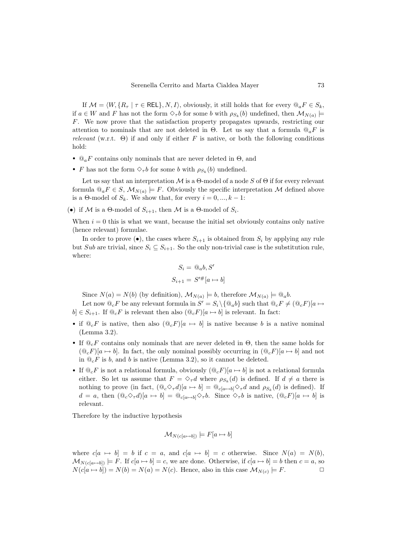If  $\mathcal{M} = \langle W, \{R_\tau | \tau \in \text{REL}\}, N, I \rangle$ , obviously, it still holds that for every  $\mathbb{Q}_a F \in S_k$ , if  $a \in W$  and F has not the form  $\Diamond_{\tau} b$  for some b with  $\rho_{S_k}(b)$  undefined, then  $\mathcal{M}_{N(a)} \models$ F. We now prove that the satisfaction property propagates upwards, restricting our attention to nominals that are not deleted in  $\Theta$ . Let us say that a formula  $\mathcal{Q}_a F$  is relevant (w.r.t.  $\Theta$ ) if and only if either F is native, or both the following conditions hold:

- $\mathcal{Q}_a F$  contains only nominals that are never deleted in  $\Theta$ , and
- F has not the form  $\Diamond_{\tau} b$  for some b with  $\rho_{S_k}(b)$  undefined.

Let us say that an interpretation  $\mathcal M$  is a  $\Theta$ -model of a node S of  $\Theta$  if for every relevant formula  $\mathbb{Q}_a F \in S$ ,  $\mathcal{M}_{N(a)} \models F$ . Obviously the specific interpretation M defined above is a Θ-model of  $S_k$ . We show that, for every  $i = 0, ..., k - 1$ :

(•) if M is a  $\Theta$ -model of  $S_{i+1}$ , then M is a  $\Theta$ -model of  $S_i$ .

When  $i = 0$  this is what we want, because the initial set obviously contains only native (hence relevant) formulae.

In order to prove  $(\bullet)$ , the cases where  $S_{i+1}$  is obtained from  $S_i$  by applying any rule but Sub are trivial, since  $S_i \subseteq S_{i+1}$ . So the only non-trivial case is the substitution rule, where:

$$
S_i = \mathcal{Q}_a b, S'
$$
  

$$
S_{i+1} = S'^\#[a \mapsto b]
$$

Since  $N(a) = N(b)$  (by definition),  $\mathcal{M}_{N(a)} \models b$ , therefore  $\mathcal{M}_{N(a)} \models \mathcal{Q}_a b$ .

Let now  $\mathbb{Q}_c F$  be any relevant formula in  $S' = S_i \setminus \{ \mathbb{Q}_a b \}$  such that  $\mathbb{Q}_c F \neq (\mathbb{Q}_c F)[a \mapsto$  $b \in S_{i+1}$ . If  $\mathbb{Q}_c F$  is relevant then also  $(\mathbb{Q}_c F)[a \mapsto b]$  is relevant. In fact:

- if  $\mathbb{Q}_c F$  is native, then also  $(\mathbb{Q}_c F)[a \mapsto b]$  is native because b is a native nominal (Lemma [3.2\)](#page-8-0).
- If  $\mathbb{Q}_c$ F contains only nominals that are never deleted in  $\Theta$ , then the same holds for  $(\mathbb{Q}_c F)[a \mapsto b]$ . In fact, the only nominal possibly occurring in  $(\mathbb{Q}_c F)[a \mapsto b]$  and not in  $\mathbb{Q}_c F$  is b, and b is native (Lemma [3.2\)](#page-8-0), so it cannot be deleted.
- If  $\mathbb{Q}_c F$  is not a relational formula, obviously  $(\mathbb{Q}_c F)[a \mapsto b]$  is not a relational formula either. So let us assume that  $F = \Diamond_{\tau} d$  where  $\rho_{S_k}(d)$  is defined. If  $d \neq a$  there is nothing to prove (in fact,  $(\mathbb{Q}_c \diamond_{\tau} d)[a \mapsto b] = \mathbb{Q}_{c[a \mapsto b]} \diamond_{\tau} d$  and  $\rho_{S_k}(d)$  is defined). If  $d = a$ , then  $(\mathbb{Q}_c \Diamond_{\tau} d)[a \mapsto b] = \mathbb{Q}_{c[a \mapsto b]} \Diamond_{\tau} b$ . Since  $\Diamond_{\tau} b$  is native,  $(\mathbb{Q}_c F)[a \mapsto b]$  is relevant.

Therefore by the inductive hypothesis

$$
\mathcal{M}_{N(c[a \mapsto b])} \models F[a \mapsto b]
$$

where  $c[a \mapsto b] = b$  if  $c = a$ , and  $c[a \mapsto b] = c$  otherwise. Since  $N(a) = N(b)$ ,  $\mathcal{M}_{N(c[a \mapsto b])}$   $\models$  F. If  $c[a \mapsto b] = c$ , we are done. Otherwise, if  $c[a \mapsto b] = b$  then  $c = a$ , so  $N(c[a \mapsto b]) = N(b) = N(a) = N(c)$ . Hence, also in this case  $\mathcal{M}_{N(c)} \models F$ .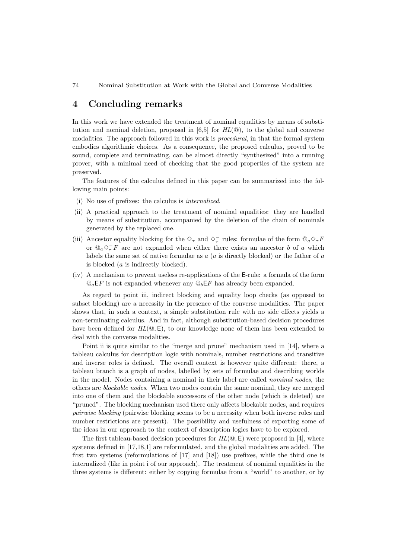74 Nominal Substitution at Work with the Global and Converse Modalities

#### 4 Concluding remarks

In this work we have extended the treatment of nominal equalities by means of substitution and nominal deletion, proposed in  $[6,5]$  $[6,5]$  for  $HL(\mathbb{Q})$ , to the global and converse modalities. The approach followed in this work is procedural, in that the formal system embodies algorithmic choices. As a consequence, the proposed calculus, proved to be sound, complete and terminating, can be almost directly "synthesized" into a running prover, with a minimal need of checking that the good properties of the system are preserved.

The features of the calculus defined in this paper can be summarized into the following main points:

- <span id="page-15-2"></span>(i) No use of prefixes: the calculus is internalized.
- <span id="page-15-1"></span>(ii) A practical approach to the treatment of nominal equalities: they are handled by means of substitution, accompanied by the deletion of the chain of nominals generated by the replaced one.
- <span id="page-15-0"></span>(iii) Ancestor equality blocking for the  $\diamond_\tau$  and  $\diamond_\tau^-$  rules: formulae of the form  $@_a\diamond_\tau F$ or  $@_a\diamondsuit^-_rF$  are not expanded when either there exists an ancestor b of a which labels the same set of native formulae as  $a$  ( $a$  is directly blocked) or the father of  $a$ is blocked (a is indirectly blocked).
- <span id="page-15-3"></span>(iv) A mechanism to prevent useless re-applications of the E-rule: a formula of the form  $\mathbb{Q}_a$ EF is not expanded whenever any  $\mathbb{Q}_b$ EF has already been expanded.

As regard to point [iii,](#page-15-0) indirect blocking and equality loop checks (as opposed to subset blocking) are a necessity in the presence of the converse modalities. The paper shows that, in such a context, a simple substitution rule with no side effects yields a non-terminating calculus. And in fact, although substitution-based decision procedures have been defined for  $HL(\mathbb{Q}, \mathsf{E})$ , to our knowledge none of them has been extended to deal with the converse modalities.

Point [ii](#page-15-1) is quite similar to the "merge and prune" mechanism used in [\[14\]](#page-17-2), where a tableau calculus for description logic with nominals, number restrictions and transitive and inverse roles is defined. The overall context is however quite different: there, a tableau branch is a graph of nodes, labelled by sets of formulae and describing worlds in the model. Nodes containing a nominal in their label are called nominal nodes, the others are blockable nodes. When two nodes contain the same nominal, they are merged into one of them and the blockable successors of the other node (which is deleted) are "pruned". The blocking mechanism used there only affects blockable nodes, and requires pairwise blocking (pairwise blocking seems to be a necessity when both inverse roles and number restrictions are present). The possibility and usefulness of exporting some of the ideas in our approach to the context of description logics have to be explored.

The first tableau-based decision procedures for  $HL(\mathbb{Q}, \mathsf{E})$  were proposed in [\[4\]](#page-17-11), where systems defined in [\[17](#page-17-12)[,18,](#page-17-13)[1\]](#page-17-14) are reformulated, and the global modalities are added. The first two systems (reformulations of [\[17\]](#page-17-12) and [\[18\]](#page-17-13)) use prefixes, while the third one is internalized (like in point [i](#page-15-2) of our approach). The treatment of nominal equalities in the three systems is different: either by copying formulae from a "world" to another, or by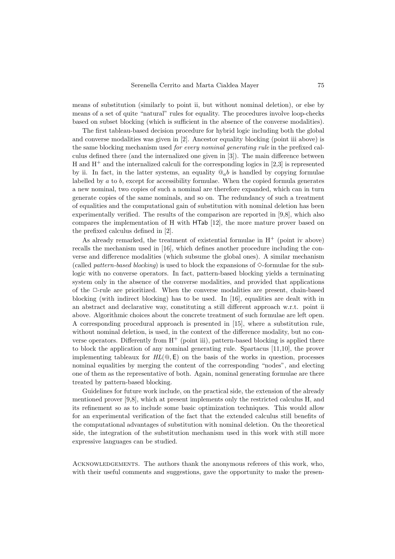means of substitution (similarly to point [ii,](#page-15-1) but without nominal deletion), or else by means of a set of quite "natural" rules for equality. The procedures involve loop-checks based on subset blocking (which is sufficient in the absence of the converse modalities).

The first tableau-based decision procedure for hybrid logic including both the global and converse modalities was given in [\[2\]](#page-17-3). Ancestor equality blocking (point [iii](#page-15-0) above) is the same blocking mechanism used for every nominal generating rule in the prefixed calculus defined there (and the internalized one given in [\[3\]](#page-17-7)). The main difference between H and  $H^+$  and the internalized calculi for the corresponding logics in [\[2,](#page-17-3)[3\]](#page-17-7) is represented by [ii.](#page-15-1) In fact, in the latter systems, an equality  $\mathbb{Q}_a b$  is handled by copying formulae labelled by  $a$  to  $b$ , except for accessibility formulae. When the copied formula generates a new nominal, two copies of such a nominal are therefore expanded, which can in turn generate copies of the same nominals, and so on. The redundancy of such a treatment of equalities and the computational gain of substitution with nominal deletion has been experimentally verified. The results of the comparison are reported in [\[9,](#page-17-4)[8\]](#page-17-5), which also compares the implementation of H with HTab [\[12\]](#page-17-6), the more mature prover based on the prefixed calculus defined in [\[2\]](#page-17-3).

As already remarked, the treatment of existential formulae in  $H^+$  (point [iv](#page-15-3) above) recalls the mechanism used in [\[16\]](#page-17-8), which defines another procedure including the converse and difference modalities (which subsume the global ones). A similar mechanism (called *pattern-based blocking*) is used to block the expansions of  $\Diamond$ -formulae for the sublogic with no converse operators. In fact, pattern-based blocking yields a terminating system only in the absence of the converse modalities, and provided that applications of the  $\Box$ -rule are prioritized. When the converse modalities are present, chain-based blocking (with indirect blocking) has to be used. In [\[16\]](#page-17-8), equalities are dealt with in an abstract and declarative way, constituting a still different approach w.r.t. point [ii](#page-15-1) above. Algorithmic choices about the concrete treatment of such formulae are left open. A corresponding procedural approach is presented in [\[15\]](#page-17-15), where a substitution rule, without nominal deletion, is used, in the context of the difference modality, but no converse operators. Differently from  $H^+$  (point [iii\)](#page-15-0), pattern-based blocking is applied there to block the application of any nominal generating rule. Spartacus [\[11,](#page-17-16)[10\]](#page-17-17), the prover implementing tableaux for  $HL(\mathbb{Q}, \mathsf{E})$  on the basis of the works in question, processes nominal equalities by merging the content of the corresponding "nodes", and electing one of them as the representative of both. Again, nominal generating formulae are there treated by pattern-based blocking.

Guidelines for future work include, on the practical side, the extension of the already mentioned prover [\[9,](#page-17-4)[8\]](#page-17-5), which at present implements only the restricted calculus H, and its refinement so as to include some basic optimization techniques. This would allow for an experimental verification of the fact that the extended calculus still benefits of the computational advantages of substitution with nominal deletion. On the theoretical side, the integration of the substitution mechanism used in this work with still more expressive languages can be studied.

Acknowledgements. The authors thank the anonymous referees of this work, who, with their useful comments and suggestions, gave the opportunity to make the presen-